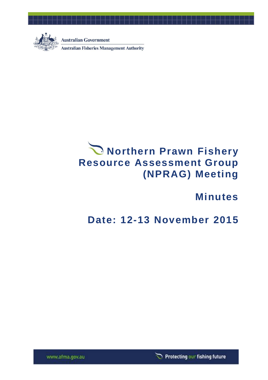

**Australian Government** 

**Australian Fisheries Management Authority** 

# **Northern Prawn Fishery Resource Assessment Group (NPRAG) Meeting**

# **Minutes**

# **Date: 12-13 November 2015**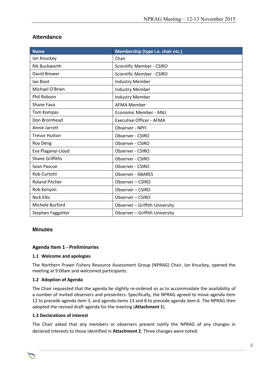## **Attendance**

| <b>Name</b>            | Membership (type i.e. chair etc.) |
|------------------------|-----------------------------------|
| lan Knuckey            | Chair                             |
| <b>Rik Buckworth</b>   | <b>Scientific Member - CSIRO</b>  |
| David Brewer           | <b>Scientific Member - CSIRO</b>  |
| lan Boot               | <b>Industry Member</b>            |
| Michael O'Brien        | <b>Industry Member</b>            |
| <b>Phil Robson</b>     | <b>Industry Member</b>            |
| Shane Fava             | <b>AFMA Member</b>                |
| Tom Kompas             | Economic Member - ANU             |
| Don Bromhead           | <b>Executive Officer - AFMA</b>   |
| Annie Jarrett          | Observer - NPFI                   |
| <b>Trevor Hutton</b>   | Observer - CSIRO                  |
| Roy Deng               | Observer - CSIRO                  |
| Eva Plaganyi-Lloyd     | Observer - CSIRO                  |
| <b>Shane Griffiths</b> | Observer - CSIRO                  |
| Sean Pascoe            | Observer - CSIRO                  |
| Rob Curtotti           | <b>Observer - ABARES</b>          |
| <b>Roland Pitcher</b>  | Observer - CSIRO                  |
| Rob Kenyon             | Observer - CSIRO                  |
| <b>Nick Ellis</b>      | Observer - CSIRO                  |
| Michele Burford        | Observer - Griffith University    |
| Stephen Faggotter      | Observer - Griffith University    |

## **Minutes**

## **Agenda Item 1 - Preliminaries**

## **1.1 Welcome and apologies**

The Northern Prawn Fishery Resource Assessment Group (NPRAG) Chair, Ian Knuckey, opened the meeting at 9.00am and welcomed participants.

## **1.2 Adoption of Agenda**

The Chair requested that the agenda be slightly re-ordered so as to accommodate the availability of a number of invited observers and presenters. Specifically, the NPRAG agreed to move agenda item 12 to precede agenda item 3, and agenda items 13 and 8 to precede agenda item 6. The NPRAG then adopted the revised draft agenda for the meeting (**Attachment 1**).

## **1.3 Declarations of interest**

The Chair asked that any members or observers present notify the NPRAG of any changes in declared interests to those identified in **Attachment 2**. Three changes were noted:

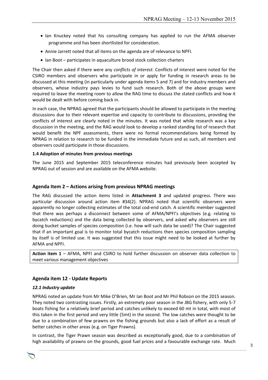- Ian Knuckey noted that his consulting company has applied to run the AFMA observer programme and has been shortlisted for consideration.
- Annie Jarrett noted that all items on the agenda are of relevance to NPFI.
- Ian Boot participates in aquaculture brood stock collection charters

The Chair then asked if there were any *conflicts of interest*. Conflicts of interest were noted for the CSIRO members and observers who participate in or apply for funding in research areas to be discussed at this meeting (in particularly under agenda items 5 and 7) and for industry members and observers, whose industry pays levies to fund such research. Both of the above groups were required to leave the meeting room to allow the RAG time to discuss the stated conflicts and how it would be dealt with before coming back in.

In each case, the NPRAG agreed that the participants should be allowed to participate in the meeting discussions due to their relevant expertise and capacity to contribute to discussions, providing the conflicts of interest are clearly noted in the minutes. It was noted that while research was a key discussion in the meeting, and the RAG would look to develop a ranked standing list of research that would benefit the NPF assessments, there were no formal recommendations being formed by NPRAG in relation to research to be funded in the immediate future and as such, all members and observers could participate in those discussions.

#### **1.4 Adoption of minutes from previous meetings**

The June 2015 and September 2015 teleconference minutes had previously been accepted by NPRAG out of session and are available on the AFMA website.

## **Agenda Item 2 – Actions arising from previous NPRAG meetings**

The RAG discussed the action items listed in **Attachment 3** and updated progress. There was particular discussion around action item #34(2). NPRAG noted that scientific observers were apparently no longer collecting estimates of the total cod-end catch. A scientific member suggested that there was perhaps a disconnect between some of AFMA/NPFI's objectives (e.g. relating to bycatch reductions) and the data being collected by observers, and asked why observers are still doing bucket samples of species composition (i.e. how will such data be used)? The Chair suggested that if an important goal is to monitor total bycatch reductions then species composition sampling by itself is of limited use. It was suggested that this issue might need to be looked at further by AFMA and NPFI.

**Action item 1** – AFMA, NPFI and CSIRO to hold further discussion on observer data collection to meet various management objectives

## **Agenda item 12 - Update Reports**

#### *12.1 Industry update*

NPRAG noted an update from Mr Mike O'Brien, Mr Ian Boot and Mr Phil Robson on the 2015 season. They noted two contrasting issues. Firstly, an extremely poor season in the JBG fishery, with only 5-7 boats fishing for a relatively brief period and catches unlikely to exceed 60 mt in total, with most of this taken in the first period and very little (5mt) in the second. The low catches were thought to be due to a combination of few prawns on the fishing grounds but also a lack of effort as a result of better catches in other areas (e.g. on Tiger Prawns).

In contrast, the Tiger Prawn season was described as exceptionally good, due to a combination of high availability of prawns on the grounds, good fuel prices and a favourable exchange rate. Much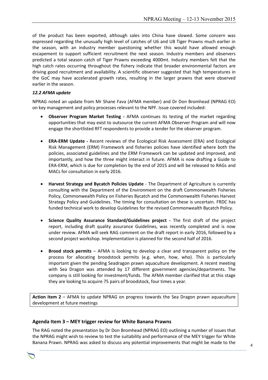of the product has been exported, although sales into China have slowed. Some concern was expressed regarding the unusually high level of catches of U6 and U8 Tiger Prawns much earlier in the season, with an industry member questioning whether this would have allowed enough escapement to support sufficient recruitment the next season. Industry members and observers predicted a total season catch of Tiger Prawns exceeding 4000mt. Industry members felt that the high catch rates occurring throughout the fishery indicate that broader environmental factors are driving good recruitment and availability. A scientific observer suggested that high temperatures in the GoC may have accelerated growth rates, resulting in the larger prawns that were observed earlier in the season.

## *12.2 AFMA update*

NPRAG noted an update from Mr Shane Fava (AFMA member) and Dr Don Bromhead (NPRAG EO) on key management and policy processes relevant to the NPF. Issue covered included:

- **Observer Program Market Testing -** AFMA continues its testing of the market regarding opportunities that may exist to outsource the current AFMA Observer Program and will now engage the shortlisted RFT respondents to provide a tender for the observer program.
- **ERA-ERM Update -** Recent reviews of the Ecological Risk Assessment (ERA) and Ecological Risk Management (ERM) Framework and fisheries policies have identified where both the policies, associated guidelines and the ERM Framework can be updated and improved, and importantly, and how the three might interact in future. AFMA is now drafting a Guide to ERA-ERM, which is due for completion by the end of 2015 and will be released to RAGs and MACs for consultation in early 2016.
- **Harvest Strategy and Bycatch Policies Update** The Department of Agriculture is currently consulting with the Department of the Environment on the draft Commonwealth Fisheries Policy, Commonwealth Policy on Fisheries Bycatch and the Commonwealth Fisheries Harvest Strategy Policy and Guidelines. The timing for consultation on these is uncertain. FRDC has funded technical work to develop Guidelines for the revised Commonwealth Bycatch Policy.
- **Science Quality Assurance Standard/Guidelines project -** The first draft of the project report, including draft quality assurance Guidelines, was recently completed and is now under review. AFMA will seek RAG comment on the draft report in early 2016, followed by a second project workshop. Implementation is planned for the second half of 2016.
- **Brood stock permits** AFMA is looking to develop a clear and transparent policy on the process for allocating broodstock permits (e.g. when, how, who). This is particularly important given the pending Seadragon prawn aquaculture development. A recent meeting with Sea Dragon was attended by 17 different government agencies/departments. The company is still looking for investment/funds. The AFMA member clarified that at this stage they are looking to acquire 75 pairs of broodstock, four times a year.

**Action item 2** – AFMA to update NPRAG on progress towards the Sea Dragon prawn aquaculture development at future meetings

## **Agenda Item 3 – MEY trigger review for White Banana Prawns**

The RAG noted the presentation by Dr Don Bromhead (NPRAG EO) outlining a number of issues that the NPRAG might wish to review to test the suitability and performance of the MEY trigger for White Banana Prawn. NPRAG was asked to discuss any potential improvements that might be made to the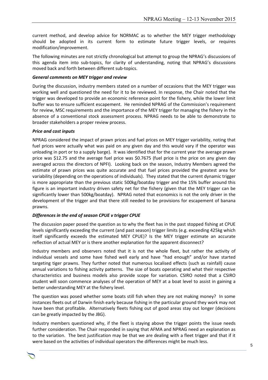current method, and develop advice for NORMAC as to whether the MEY trigger methodology should be adopted in its current form to estimate future trigger levels, or requires modification/improvement.

The following minutes are not strictly chronological but attempt to group the NPRAG's discussions of this agenda item into sub-topics, for clarity of understanding, noting that NPRAG's discussions moved back and forth between different sub-topics.

#### *General comments on MEY trigger and review*

During the discussion, industry members stated on a number of occasions that the MEY trigger was working well and questioned the need for it to be reviewed. In response, the Chair noted that the trigger was developed to provide an economic reference point for the fishery, while the lower limit buffer was to ensure sufficient escapement. He reminded NPRAG of the Commission's requirement for review, MSC requirements and the importance of the MEY trigger for managing the fishery in the absence of a conventional stock assessment process. NPRAG needs to be able to demonstrate to broader stakeholders a proper review process.

#### *Price and cost inputs*

NPRAG considered the impact of prawn prices and fuel prices on MEY trigger variability, noting that fuel prices were actually what was paid on any given day and this would vary if the operator was unloading in port or to a supply barge). It was identified that for the current year the average prawn price was \$12.75 and the average fuel price was \$0.7675 (fuel price is the price on any given day averaged across the directors of NPFI). Looking back on the season, Industry Members agreed the estimate of prawn prices was quite accurate and that fuel prices provided the greatest area for variability (depending on the operations of individuals). They stated that the current dynamic trigger is more appropriate than the previous static 500kg/boatday trigger and the 15% buffer around this figure is an important industry driven safety net for the fishery (given that the MEY trigger can be significantly lower than 500kg/boatday). NPRAG noted that economics is not the only driver in the development of the trigger and that there still needed to be provisions for escapement of banana prawns.

## *Differences in the end of season CPUE v trigger CPUE*

The discussion paper posed the question as to why the fleet has in the past stopped fishing at CPUE levels significantly exceeding the current (and past season) trigger limits (e.g. exceeding 425kg which itself significantly exceeds the estimated MEY CPUE)? Is the MEY trigger estimate an accurate reflection of actual MEY or is there another explanation for the apparent disconnect?

Industry members and observers noted that it is not the whole fleet, but rather the activity of individual vessels and some have fished well early and have "had enough" and/or have started targeting tiger prawns. They further noted that numerous localised effects (such as rainfall) cause annual variations to fishing activity patterns. The size of boats operating and what their respective characteristics and business models also provide scope for variation. CSIRO noted that a CSIRO student will soon commence analyses of the operation of MEY at a boat level to assist in gaining a better understanding MEY at the fishery level.

The question was posed whether some boats still fish when they are not making money? In some instances fleets out of Darwin finish early because fishing in the particular ground they work may not have been that profitable. Alternatively fleets fishing out of good areas stay out longer (decisions can be greatly impacted by the JBG).

Industry members questioned why, if the fleet is staying above the trigger points the issue needs further consideration. The Chair responded in saying that AFMA and NPRAG need an explanation as to the variation. The best justification may be that we are dealing with a fleet trigger and that if it were based on the activities of individual operators the differences might be much less.

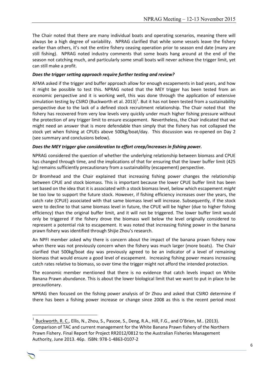The Chair noted that there are many individual boats and operating scenarios, meaning there will always be a high degree of variability. NPRAG clarified that while some vessels leave the fishery earlier than others, it's not the entire fishery ceasing operation prior to season end date (many are still fishing). NPRAG noted industry comments that some boats hang around at the end of the season not catching much, and particularly some small boats will never achieve the trigger limit, yet can still make a profit.

## *Does the trigger setting approach require further testing and review?*

AFMA asked if the trigger and buffer approach allow for enough escapements in bad years, and how it might be possible to test this. NPRAG noted that the MEY trigger has been tested from an economic perspective and it is working well, this was done through the application of extensive simulation testing by CSIRO (Buckworth et al. 2013)<sup>1</sup>. But it has not been tested from a sustainability perspective due to the lack of a defined stock recruitment relationship. The Chair noted that the fishery has recovered from very low levels very quickly under much higher fishing pressure without the protection of any trigger limit to ensure escapement. Nevertheless, the Chair indicated that we might need an answer that is more defendable than simply that the fishery has not collapsed the stock yet when fishing at CPUEs above 500kg/boat/day. This discussion was re-opened on Day 2 (see summary and conclusions below).

## *Does the MEY trigger give consideration to effort creep/increases in fishing power.*

NPRAG considered the question of whether the underlying relationship between biomass and CPUE has changed through time, and the implications of that for ensuring that the lower buffer limit (425 kg) remains sufficiently precautionary from a sustainability (escapement) perspective.

Dr Bromhead and the Chair explained that increasing fishing power changes the relationship between CPUE and stock biomass. This is important because the lower CPUE buffer limit has been set based on the idea that it is associated with a stock biomass level, below which escapement *might* be too low to support the future stock. However, if fishing efficiency increases over the years, the catch rate (CPUE) associated with that same biomass level will increase. Subsequently, if the stock were to decline to that same biomass level in future, the CPUE will be higher (due to higher fishing efficiency) than the original buffer limit, and it will not be triggered. The lower buffer limit would only be triggered if the fishery drove the biomass well below the level originally considered to represent a potential risk to escapement. It was noted that increasing fishing power in the banana prawn fishery was identified through Shijie Zhou's research.

An NPFI member asked why there is concern about the impact of the banana prawn fishery now when there was not previously concern when the fishery was much larger (more boats). The Chair clarified that 500kg/boat day was previously agreed to be an indicator of a level of remaining biomass that would ensure a good level of escapement. Increasing fishing power means increasing catch rates relative to biomass, so over time the trigger might not afford the intended protection.

The economic member mentioned that there is no evidence that catch levels impact on White Banana Prawn abundance. This is about the lower biological limit that we want to put in place to be precautionary.

NPRAG then focused on the fishing power analysis of Dr Zhou and asked that CSIRO determine if there has been a fishing power increase or change since 2008 as this is the recent period most

Chair Rob Lewis c/- Executive Officer Tony Kingston, 155 Faulkland Rd, Gloucester NSW 2422



1

<sup>1</sup> Buckworth, R. C., Ellis, N., Zhou, S., Pascoe, S., Deng, R.A., Hill, F.G., and O'Brien, M.. (2013). Comparison of TAC and current management for the White Banana Prawn fishery of the Northern Prawn Fishery. Final Report for Project RR2012/0812 to the Australian Fisheries Management Authority, June 2013. 46p. ISBN: 978-1-4863-0107-2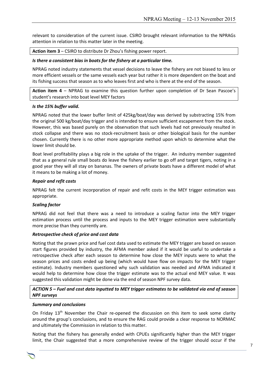relevant to consideration of the current issue. CSIRO brought relevant information to the NPRAGs attention in relation to this matter later in the meeting.

#### **Action item 3** – CSIRO to distribute Dr Zhou's fishing power report.

#### *Is there a consistent bias in boats for the fishery at a particular time.*

NPRAG noted industry statements that vessel decisions to leave the fishery are not biased to less or more efficient vessels or the same vessels each year but rather it is more dependent on the boat and its fishing success that season as to who leaves first and who is there at the end of the season.

**Action item 4** – NPRAG to examine this question further upon completion of Dr Sean Pascoe's student's research into boat level MEY factors

#### *Is the 15% buffer valid.*

NPRAG noted that the lower buffer limit of 425kg/boat/day was derived by substracting 15% from the original 500 kg/boat/day trigger and is intended to ensure sufficient escapement from the stock. However, this was based purely on the observation that such levels had not previously resulted in stock collapse and there was no stock-recruitment basis or other biological basis for the number chosen. Currently there is no other more appropriate method upon which to determine what the lower limit should be.

Boat level profitability plays a big role in the uptake of the trigger. An industry member suggested that as a general rule small boats do leave the fishery earlier to go off and target tigers, noting in a good year they will all stay on bananas. The owners of private boats have a different model of what it means to be making a lot of money.

#### *Repair and refit costs*

NPRAG felt the current incorporation of repair and refit costs in the MEY trigger estimation was appropriate.

#### *Scaling factor*

NPRAG did not feel that there was a need to introduce a scaling factor into the MEY trigger estimation process until the process and inputs to the MEY trigger estimation were substantially more precise than they currently are.

#### *Retrospective check of price and cost data*

Noting that the prawn price and fuel cost data used to estimate the MEY trigger are based on season start figures provided by industry, the AFMA member asked if it would be useful to undertake a retrospective check after each season to determine how close the MEY inputs were to what the season prices and costs ended up being (which would have flow on impacts for the MEY trigger estimate). Industry members questioned why such validation was needed and AFMA indicated it would help to determine how close the trigger estimate was to the actual end MEY value. It was suggested this validation might be done via the end of season NPF survey data.

## *ACTION 5 – Fuel and cost data inputted to MEY trigger estimates to be validated via end of season NPF surveys*

#### *Summary and conclusions*

On Friday 13<sup>th</sup> November the Chair re-opened the discussion on this item to seek some clarity around the group's conclusions, and to ensure the RAG could provide a clear response to NORMAC and ultimately the Commission in relation to this matter.

Noting that the fishery has generally ended with CPUEs significantly higher than the MEY trigger limit, the Chair suggested that a more comprehensive review of the trigger should occur if the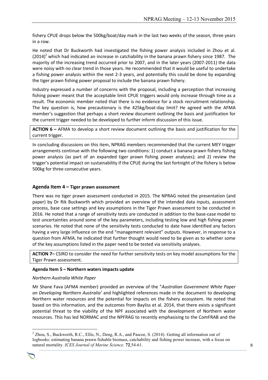fishery CPUE drops below the 500kg/boat/day mark in the last two weeks of the season, three years in a row.

He noted that Dr Buckworth had investigated the fishing power analysis included in Zhou et al.  $(2014)^2$  which had indicated an increase in catchability in the banana prawn fishery since 1987. The majority of the increasing trend occurred prior to 2007, and in the later years (2007-2011) the data were noisy with no clear trend in those years. He recommended that it would be useful to undertake a fishing power analysis within the next 2-3 years, and potentially this could be done by expanding the tiger prawn fishing power proposal to include the banana prawn fishery.

Industry expressed a number of concerns with the proposal, including a perception that increasing fishing power meant that the acceptable limit CPUE triggers would only increase through time as a result. The economic member noted that there is no evidence for a stock recruitment relationship. The key question is, how precautionary is the 425kg/boat-day limit? He agreed with the AFMA member's suggestion that perhaps a short review document outlining the basis and justification for the current trigger needed to be developed to further inform discussion of this issue.

**ACTION 6 –** AFMA to develop a short review document outlining the basis and justification for the current trigger.

In concluding discussions on this item, NPRAG members recommended that the current MEY trigger arrangements continue with the following two conditions: 1) conduct a banana prawn fishery fishing power analysis (as part of an expanded tiger prawn fishing power analyses); and 2) review the trigger's potential impact on sustainability if the CPUE during the last fortnight of the fishery is below 500kg for three consecutive years.

## **Agenda Item 4 – Tiger prawn assessment**

There was no tiger prawn assessment conducted in 2015. The NPRAG noted the presentation (and paper) by Dr Rik Buckworth which provided an overview of the intended data inputs, assessment process, base case settings and key assumptions in the Tiger Prawn assessment to be conducted in 2016. He noted that a range of sensitivity tests are conducted in addition to the base-case model to test uncertainties around some of the key parameters, including testing low and high fishing power scenarios. He noted that none of the sensitivity tests conducted to date have identified any factors having a very large influence on the end "management relevant" outputs. However, in response to a question from AFMA, he indicated that further thought would need to be given as to whether some of the key assumptions listed in the paper need to be tested via sensitivity analyses.

**ACTION 7–** CSIRO to consider the need for further sensitivity tests on key model assumptions for the Tiger Prawn assessment.

#### **Agenda Item 5 – Northern waters impacts update**

#### *Northern Australia White Paper*

Mr Shane Fava (AFMA member) provided an overview of the "*Australian Government White Paper on Developing Northern Australia'* and highlighted references made in the document to developing Northern water resources and the potential for impacts on the fishery ecosystem. He noted that based on this information, and the outcomes from Bayliss et al. 2014, that there exists a significant potential threat to the viability of the NPF associated with the development of Northern water resources. This has led NORMAC and the NPFRAG to recently emphasising to the ComFRAB and the

Chair Rob Lewis c/- Executive Officer Tony Kingston, 155 Faulkland Rd, Gloucester NSW 2422

<u>.</u>

 $^{2}$  Zhou, S., Buckworth, R.C., Ellis, N., Deng, R.A., and Pascoe, S. (2014). Getting all information out of logbooks: estimating banana prawn fishable biomass, catchability and fishing power increase, with a focus on natural mortality. *ICES Journal of Marine Science.* **72**,54-61.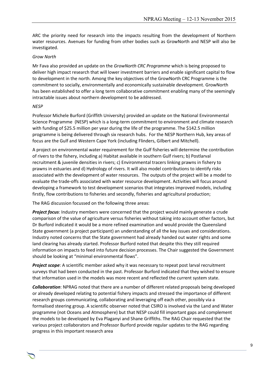ARC the priority need for research into the impacts resulting from the development of Northern water resources. Avenues for funding from other bodies such as GrowNorth and NESP will also be investigated.

#### *Grow North*

Mr Fava also provided an update on the *GrowNorth CRC Programme* which is being proposed to deliver high impact research that will lower investment barriers and enable significant capital to flow to development in the north. Among the key objectives of the GrowNorth CRC Programme is the commitment to socially, environmentally and economically sustainable development. GrowNorth has been established to offer a long term collaborative commitment enabling many of the seemingly intractable issues about northern development to be addressed.

#### *NESP*

Professor Michele Burford (Griffith University) provided an update on the National Environmental Science Programme (NESP) which is a long-term commitment to environment and climate research with funding of \$25.5 million per year during the life of the programme. The \$142.5 million programme is being delivered through six research hubs. For the NESP Northern Hub, key areas of focus are the Gulf and Western Cape York (including Flinders, Gilbert and Mitchell).

A project on environmental water requirement for the Gulf fisheries will determine the contribution of rivers to the fishery, including a) Habitat available in southern Gulf rivers; b) Postlarval recruitment & juvenile densities in rivers; c) Environmental tracers linking prawns in fishery to prawns in estuaries and d) Hydrology of rivers. It will also model contributions to identify risks associated with the development of water resources. The outputs of the project will be a model to evaluate the trade-offs associated with water resource development. Activities will focus around developing a framework to test development scenarios that integrates improved models, including firstly, flow contributions to fisheries and secondly, fisheries and agricultural production;

The RAG discussion focussed on the following three areas:

*Project focus*: Industry members were concerned that the project would mainly generate a crude comparison of the value of agriculture versus fisheries without taking into account other factors, but Dr Burford indicated it would be a more refined examination and would provide the Queensland State government (a project participant) an understanding of all the key issues and considerations. Industry noted concerns that the State government had already handed out water rights and some land clearing has already started. Professor Burford noted that despite this they still required information on impacts to feed into future decision processes. The Chair suggested the Government should be looking at "minimal environmental flows".

*Project scope*: A scientific member asked why it was necessary to repeat post larval recruitment surveys that had been conducted in the past. Professor Burford indicated that they wished to ensure that information used in the models was more recent and reflected the current system state.

*Collaboration*: NPRAG noted that there are a number of different related proposals being developed or already developed relating to potential fishery impacts and stressed the importance of different research groups communicating, collaborating and leveraging off each other, possibly via a formalised steering group. A scientific observer noted that CSIRO is involved via the Land and Water programme (not Oceans and Atmosphere) but that NESP could fill important gaps and complement the models to be developed by Eva Plaganyi and Shane Griffiths. The RAG Chair requested that the various project collaborators and Professor Burford provide regular updates to the RAG regarding progress in this important research area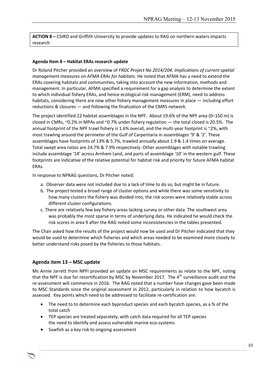**ACTION 8 –** CSIRO and Griffith University to provide updates to RAG on northern waters impacts research

### **Agenda Item 8 – Habitat ERAs research update**

Dr Roland Pitcher provided an overview of *FRDC Project No 2014/204: Implications of current spatial management measures on AFMA ERAs for habitats*. He noted that AFMA has a need to extend the ERAs covering habitats and communities, taking into account the new information, methods and management. In particular, AFMA specified a requirement for a gap analysis to determine the extent to which individual fishery ERAs, and hence ecological risk management (ERM), need to address habitats, considering there are now other fishery management measures in place — including effort reductions & closures — and following the finalization of the CMRS network.

The project identified 22 habitat assemblages in the NPF. About 19.6% of the NPF area (0–150 m) is closed in CMRs, ~0.2% in MPAs and ~0.7% under fishery regulation — the total closed is 20.5%. The annual footprint of the NPF trawl fishery is 1.6% overall, and the multi-year footprint is ~2%, with most trawling around the perimeter of the Gulf of Carpentaria in assemblages '9' & '2'. These assemblages have footprints of 13% & 5.7%, trawled annually about 1.9 & 1.4 times on average. Total swept area ratios are 24.7% & 7.9% respectively. Other assemblages with notable trawling include assemblage '14' across Arnhem Land, and parts of assemblage '10' in the western gulf. These footprints are indicative of the relative potential for habitat risk and priority for future AFMA habitat ERAs.

In response to NPRAG questions, Dr Pitcher noted:

- a. Observer data were not included due to a lack of time to do so, but might be in future.
- b. The project tested a broad range of cluster options and while there was some sensitivity to how many clusters the fishery was divided into, the risk scores were relatively stable across different cluster configurations.
- c. There are relatively few key fishery areas lacking survey or other data. The southwest area was probably the most sparse in terms of underlying data. He indicated he would check the risk scores in area 9 after the RAG noted some inconsistencies in the tables presented.

The Chair asked how the results of the project would now be used and Dr Pitcher indicated that they would be used to determine which fisheries and which areas needed to be examined more closely to better understand risks posed by the fisheries to those habitats.

## **Agenda item 13 – MSC update**

Ms Annie Jarrett from NPFI provided an update on MSC requirements as relate to the NPF, noting that the NPF is due for recertification by MSC by November 2017. The  $4<sup>th</sup>$  surveillance audit and the re-assessment will commence in 2016. The RAG noted that a number have changes gave been made to MSC Standards since the original assessment in 2012, particularly in relation to how bycatch is assessed. Key points which need to be addressed to facilitate re-certification are:

• The need to to determine each byproduct species and each bycatch species, as a % of the total catch

- TEP species are treated separately, with catch data required for all TEP species the need to identify and assess vulnerable marine eco-systems
- Sawfish as a key risk to ongoing assessment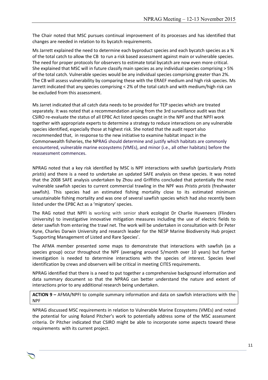The Chair noted that MSC pursues continual improvement of its processes and has identified that changes are needed in relation to its bycatch requirements.

Ms Jarrett explained the need to determine each byproduct species and each bycatch species as a % of the total catch to allow the CB to run a risk based assessment against main or vulnerable species. The need for proper protocols for observers to estimate total bycatch are now even more critical. She explained that MSC will in future classify main species as any individual species comprising > 5% of the total catch. Vulnerable species would be any individual species comprising greater than 2%. The CB will assess vulnerability by comparing these with the ERAEF medium and high risk species. Ms Jarrett indicated that any species comprising < 2% of the total catch and with medium/high risk can be excluded from this assessment.

Ms Jarret indicated that all catch data needs to be provided for TEP species which are treated separately. It was noted that a recommendation arising from the 3rd surveillance audit was that CSIRO re-evaluate the status of all EPBC Act listed species caught in the NPF and that NPFI work together with appropriate experts to determine a strategy to reduce interactions on any vulnerable species identified, especially those at highest risk. She noted that the audit report also recommended that, in response to the new initiative to examine habitat impact in the Commonwealth fisheries, the NPRAG should determine and justify which habitats are commonly encountered, vulnerable marine ecosystems (VMEs), and minor (i.e., all other habitats) before the reassessment commences.

NPRAG noted that a key risk identified by MSC is NPF interactions with sawfish (particularly *Pristis pristis*) and there is a need to undertake an updated SAFE analysis on these species. It was noted that the 2008 SAFE analysis undertaken by Zhou and Griffiths concluded that potentially the most vulnerable sawfish species to current commercial trawling in the NPF was *Pristis pristis* (freshwater sawfish). This species had an estimated fishing mortality close to its estimated minimum unsustainable fishing mortality and was one of several sawfish species which had also recently been listed under the EPBC Act as a 'migratory' species.

The RAG noted that NPFI is working with senior shark ecologist Dr Charlie Huveneers (Flinders University) to investigative innovative mitigation measures including the use of electric fields to deter sawfish from entering the trawl net. The work will be undertaken in consultation with Dr Peter Kyne, Charles Darwin University and research leader for the NESP Marine Biodiversity Hub project 'Supporting Management of Listed and Rare Species'.

The AFMA member presented some maps to demonstrate that interactions with sawfish (as a species group) occur throughout the NPF (averaging around 5/month over 10 years) but further investigation is needed to determine interactions with the species of interest. Species level identification by crews and observers will be critical in meeting CITES requirements.

NPRAG identified that there is a need to put together a comprehensive background information and data summary document so that the NPRAG can better understand the nature and extent of interactions prior to any additional research being undertaken.

**ACTION 9 –** AFMA/NPFI to compile summary information and data on sawfish interactions with the NPF

NPRAG discussed MSC requirements in relation to Vulnerable Marine Ecosystems (VMEs) and noted the potential for using Roland Pitcher's work to potentially address some of the MSC assessment criteria. Dr Pitcher indicated that CSIRO might be able to incorporate some aspects toward these requirements with its current project.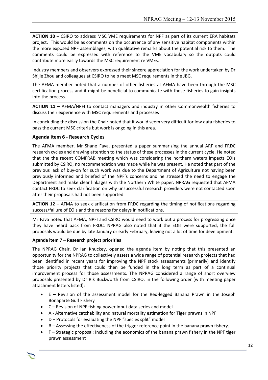**ACTION 10 –** CSIRO to address MSC VME requirements for NPF as part of its current ERA habitats project. This would be as comments on the occurrence of any sensitive habitat components within the more exposed NPF assemblages, with qualitative remarks about the potential risk to them. The comments could be expressed with reference to the VME vocabulary so the outputs could contribute more easily towards the MSC requirement re VMEs.

Industry members and observers expressed their sincere appreciation for the work undertaken by Dr Shijie Zhou and colleagues at CSIRO to help meet MSC requirements in the JBG.

The AFMA member noted that a number of other fisheries at AFMA have been through the MSC certification process and it might be beneficial to communicate with those fisheries to gain insights into the process.

**ACTION 11 –** AFMA/NPFI to contact managers and industry in other Commonwealth fisheries to discuss their experience with MSC requirements and processes

In concluding the discussion the Chair noted that it would seem very difficult for low data fisheries to pass the current MSC criteria but work is ongoing in this area.

## **Agenda item 6 - Research Cycles**

The AFMA member, Mr Shane Fava, presented a paper summarizing the annual ARF and FRDC research cycles and drawing attention to the status of these processes in the current cycle. He noted that the the recent COMFRAB meeting which was considering the northern waters impacts EOIs submitted by CSIRO, no recommendation was made while he was present. He noted that part of the previous lack of buy-on for such work was due to the Department of Agriculture not having been previously informed and briefed of the NPF's concerns and he stressed the need to engage the Department and make clear linkages with the Northern White paper. NPRAG requested that AFMA contact FRDC to seek clarification on why unsuccessful research providers were not contacted soon after their proposals had not been supported.

**ACTION 12 –** AFMA to seek clarification from FRDC regarding the timing of notifications regarding success/failure of EOIs and the reasons for delays in notifications.

Mr Fava noted that AFMA, NPFI and CSIRO would need to work out a process for progressing once they have heard back from FRDC. NPRAG also noted that if the EOIs were supported, the full proposals would be due by late January or early February, leaving not a lot of time for development.

#### **Agenda item 7 – Research project priorities**

The NPRAG Chair, Dr Ian Knuckey, opened the agenda item by noting that this presented an opportunity for the NPRAG to collectively assess a wide range of potential research projects that had been identified in recent years for improving the NPF stock assessments (primarily) and identify those priority projects that could then be funded in the long term as part of a continual improvement process for those assessments. The NPRAG considered a range of short overview proposals presented by Dr Rik Buckworth from CSIRO, in the following order (with meeting paper attachment letters listed):

- E Revision of the assessment model for the Red-legged Banana Prawn in the Joseph Bonaparte Gulf Fishery
- C Revision of NPF fishing power input data series and model
- A Alternative catchability and natural mortality estimation for Tiger prawns in NPF
- D Protocols for evaluating the NPF "species split" model
- B Assessing the effectiveness of the trigger reference point in the banana prawn fishery.

Chair Rob Lewis c/- Executive Officer Tony Kingston, 155 Faulkland Rd, Gloucester NSW 2422

 F – Strategic proposal: Including the economics of the banana prawn fishery in the NPF tiger prawn assessment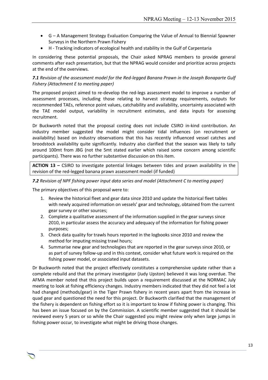- G A Management Strategy Evaluation Comparing the Value of Annual to Biennial Spawner Surveys in the Northern Prawn Fishery
- H Tracking indicators of ecological health and stability in the Gulf of Carpentaria

In considering these potential proposals, the Chair asked NPRAG members to provide general comments after each presentation, but that the NPRAG would consider and prioritize across projects at the end of the overviews.

*7.1 Revision of the assessment model for the Red-legged Banana Prawn in the Joseph Bonaparte Gulf Fishery (Attachment E to meeting paper)*

The proposed project aimed to re-develop the red-legs assessment model to improve a number of assessment processes, including those relating to harvest strategy requirements, outputs for recommended TAEs, reference point values, catchability and availability, uncertainty associated with the TAE model output, variability in recruitment estimates, and data inputs for assessing recruitment.

Dr Buckworth noted that the proposal costing does not include CSIRO in-kind contribution. An industry member suggested the model might consider tidal influences (on recruitment or availability) based on industry observations that this has recently influenced vessel catches and broodstock availability quite significantly. Industry also clarified that the season was likely to tally around 100mt from JBG (not the 5mt stated earlier which raised some concern among scientific participants). There was no further substantive discussion on this item.

**ACTION 13 –** CSIRO to investigate potential linkages between tides and prawn availability in the revision of the red-legged banana prawn assessment model (if funded)

#### *7.2 Revision of NPF fishing power input data series and model (Attachment C to meeting paper)*

The primary objectives of this proposal were to:

- 1. Review the historical fleet and gear data since 2010 and update the historical fleet tables with newly acquired information on vessels' gear and technology, obtained from the current gear survey or other sources;
- 2. Complete a qualitative assessment of the information supplied in the gear surveys since 2010, in particular assess the accuracy and adequacy of the information for fishing power purposes;
- 3. Check data quality for trawls hours reported in the logbooks since 2010 and review the method for imputing missing trawl hours;
- 4. Summarise new gear and technologies that are reported in the gear surveys since 2010, or as part of survey follow-up and in this context, consider what future work is required on the fishing power model, or associated input datasets.

Dr Buckworth noted that the project effectively constitutes a comprehensive update rather than a complete rebuild and that the primary investigator (Judy Upston) believed it was long overdue. The AFMA member noted that this project builds upon a requirement discussed at the NORMAC July meeting to look at fishing efficiency changes. Industry members indicated that they did not feel a lot had changed (methods/gear) in the Tiger Prawn fishery in recent years apart from the increase in quad gear and questioned the need for this project. Dr Buckworth clarified that the management of the fishery is dependent on fishing effort so it is important to know if fishing power is changing. This has been an issue focused on by the Commission. A scientific member suggested that it should be reviewed every 5 years or so while the Chair suggested you might review only when large jumps in fishing power occur, to investigate what might be driving those changes.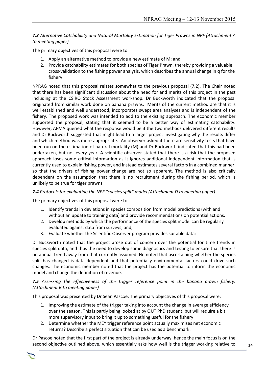## *7.3 Alternative Catchability and Natural Mortality Estimation for Tiger Prawns in NPF (Attachment A to meeting paper)*

The primary objectives of this proposal were to:

- 1. Apply an alternative method to provide a new estimate of M; and,
- 2. Provide catchability estimates for both species of Tiger Prawn, thereby providing a valuable cross-validation to the fishing power analysis, which describes the annual change in q for the fishery.

NPRAG noted that this proposal relates somewhat to the previous proposal (7.2). The Chair noted that there has been significant discussion about the need for and merits of this project in the past including at the CSIRO Stock Assessment workshop. Dr Buckworth indicated that the proposal originated from similar work done on banana prawns. Merits of the current method are that it is well established and well understood, incorporates swept area analyses and is independent of the fishery. The proposed work was intended to add to the existing approach. The economic member supported the proposal, stating that it seemed to be a better way of estimating catchability. However, AFMA queried what the response would be if the two methods delivered different results and Dr Buckworth suggested that might lead to a larger project investigating why the results differ and which method was more appropriate. An observer asked if there are sensitivity tests that have been run on the estimation of natural mortality (M) and Dr Buckworth indicated that this had been undertaken, but not every year. A scientific observer stated that there is a risk that the proposed approach loses some critical information as it ignores additional independent information that is currently used to explain fishing power, and instead estimates several factors in a combined manner, so that the drivers of fishing power change are not so apparent. The method is also critically dependent on the assumption that there is no recruitment during the fishing period, which is unlikely to be true for tiger prawns.

#### *7.4 Protocols for evaluating the NPF "species split" model (Attachment D to meeting paper)*

The primary objectives of this proposal were to:

- 1. Identify trends in deviations in species composition from model predictions (with and without an update to training data) and provide recommendations on potential actions.
- 2. Develop methods by which the performance of the species split model can be regularly evaluated against data from surveys; and,
- 3. Evaluate whether the Scientific Observer program provides suitable data;

Dr Buckworth noted that the project arose out of concern over the potential for time trends in species split data, and thus the need to develop some diagnostics and testing to ensure that there is no annual trend away from that currently assumed. He noted that ascertaining whether the species split has changed is data dependent and that potentially environmental factors could drive such changes. The economic member noted that the project has the potential to inform the economic model and change the definition of revenue.

## *7.5 Assessing the effectiveness of the trigger reference point in the banana prawn fishery. (Attachment B to meeting paper)*

This proposal was presented by Dr Sean Pascoe. The primary objectives of this proposal were:

- 1. Improving the estimate of the trigger taking into account the change in average efficiency over the season. This is partly being looked at by QUT PhD student, but will require a bit more supervisory input to bring it up to something useful for the fishery
- 2. Determine whether the MEY trigger reference point actually maximises net economic returns? Describe a perfect situation that can be used as a benchmark.

Dr Pascoe noted that the first part of the project is already underway, hence the main focus is on the second objective outlined above, which essentially asks how well is the trigger working relative to

Chair Rob Lewis c/- Executive Officer Tony Kingston, 155 Faulkland Rd, Gloucester NSW 2422

14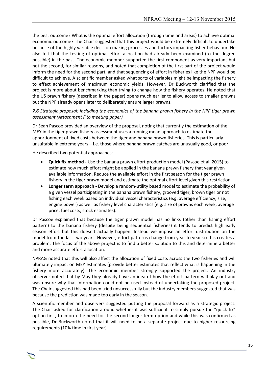the best outcome? What is the optimal effort allocation (through time and areas) to achieve optimal economic outcome? The Chair suggested that this project would be extremely difficult to undertake because of the highly variable decision making processes and factors impacting fisher behaviour. He also felt that the testing of optimal effort allocation had already been examined (to the degree possible) in the past. The economic member supported the first component as very important but not the second, for similar reasons, and noted that completion of the first part of the project would inform the need for the second part, and that sequencing of effort in fisheries like the NPF would be difficult to achieve. A scientific member asked what sorts of variables might be impacting the fishery to effect achievement of maximum economic yields. However, Dr Buckworth clarified that the project is more about benchmarking than trying to change how the fishery operates. He noted that the US prawn fishery (described in the paper) opens much earlier to allow access to smaller prawns but the NPF already opens later to deliberately ensure larger prawns.

### *7.6 Strategic proposal: Including the economics of the banana prawn fishery in the NPF tiger prawn assessment (Attachment F to meeting paper)*

Dr Sean Pascoe provided an overview of the proposal, noting that currently the estimation of the MEY in the tiger prawn fishery assessment uses a running mean approach to estimate the apportionment of fixed costs between the tiger and banana prawn fisheries. This is particularly unsuitable in extreme years – i.e. those where banana prawn catches are unusually good, or poor.

He described two potential approaches:

- **Quick fix method -** Use the banana prawn effort production model (Pascoe et al. 2015) to estimate how much effort might be applied in the banana prawn fishery that year given available information. Reduce the available effort in the first season for the tiger prawn fishery in the tiger prawn model and estimate the optimal effort level given this restriction.
- **Longer term approach -** Develop a random-utility based model to estimate the probability of a given vessel participating in the banana prawn fishery, grooved tiger, brown tiger or not fishing each week based on individual vessel characteristics (e.g. average efficiency, size, engine power) as well as fishery level characteristics (e.g. size of prawns each week, average price, fuel costs, stock estimates).

Dr Pascoe explained that because the tiger prawn model has no links (other than fishing effort pattern) to the banana fishery (despite being sequential fisheries) it tends to predict high early season effort but this doesn't actually happen. Instead we impose an effort distribution on the model from the last two years. However, effort patterns change from year to year so this creates a problem. The focus of the above project is to find a better solution to this and determine a better and more accurate effort allocation.

NPRAG noted that this will also affect the allocation of fixed costs across the two fisheries and will ultimately impact on MEY estimates (provide better estimates that reflect what is happening in the fishery more accurately). The economic member strongly supported the project. An industry observer noted that by May they already have an idea of how the effort pattern will play out and was unsure why that information could not be used instead of undertaking the proposed project. The Chair suggested this had been tried unsuccessfully but the industry members suggested that was because the prediction was made too early in the season.

A scientific member and observers suggested putting the proposal forward as a strategic project. The Chair asked for clarification around whether it was sufficient to simply pursue the "quick fix" option first, to inform the need for the second longer term option and while this was confirmed as possible, Dr Buckworth noted that it will need to be a separate project due to higher resourcing requirements (10% time in first year).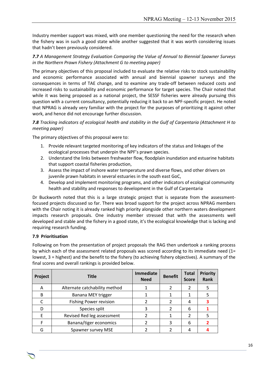Industry member support was mixed, with one member questioning the need for the research when the fishery was in such a good state while another suggested that it was worth considering issues that hadn't been previously considered.

## *7.7 A Management Strategy Evaluation Comparing the Value of Annual to Biennial Spawner Surveys in the Northern Prawn Fishery (Attachment G to meeting paper)*

The primary objectives of this proposal included to evaluate the relative risks to stock sustainability and economic performance associated with annual and biennial spawner surveys and the consequences in terms of TAE change, and to examine any trade-off between reduced costs and increased risks to sustainability and economic performance for target species. The Chair noted that while it was being proposed as a national project, the SESSF fisheries were already pursuing this question with a current consultancy, potentially reducing it back to an NPF-specific project. He noted that NPRAG is already very familiar with the project for the purposes of prioritizing it against other work, and hence did not encourage further discussion.

*7.8 Tracking indicators of ecological health and stability in the Gulf of Carpentaria (Attachment H to meeting paper)*

The primary objectives of this proposal were to:

- 1. Provide relevant targeted monitoring of key indicators of the status and linkages of the ecological processes that underpin the NPF's prawn species.
- 2. Understand the links between freshwater flow, floodplain inundation and estuarine habitats that support coastal fisheries production,
- 3. Assess the impact of inshore water temperature and diverse flows, and other drivers on juvenile prawn habitats in several estuaries in the south east GoC,
- 4. Develop and implement monitoring programs, and other indicators of ecological community health and stability and responses to development in the Gulf of Carpentaria

Dr Buckworth noted that this is a large strategic project that is separate from the assessmentfocused projects discussed so far. There was broad support for the project across NPRAG members with the Chair noting it is already ranked high priority alongside other northern waters development impacts research proposals. One industry member stressed that with the assessments well developed and stable and the fishery in a good state, it's the ecological knowledge that is lacking and requiring research funding.

## **7.9 Prioritisation**

Following on from the presentation of project proposals the RAG then undertook a ranking process by which each of the assessment related proposals was scored according to its immediate need (1= lowest, 3 = highest) and the benefit to the fishery (to achieving fishery objectives). A summary of the final scores and overall rankings is provided below.

| Project      | <b>Title</b>                  | <b>Immediate</b><br><b>Need</b> | <b>Benefit</b> | <b>Total</b><br><b>Score</b> | <b>Priority</b><br><b>Rank</b> |
|--------------|-------------------------------|---------------------------------|----------------|------------------------------|--------------------------------|
| А            | Alternate catchability method |                                 |                | 2                            |                                |
| <sub>B</sub> | Banana MEY trigger            |                                 |                |                              |                                |
|              | <b>Fishing Power revision</b> |                                 |                | 4                            |                                |
|              | Species split                 |                                 |                | 6                            |                                |
|              | Revised Red leg assessment    |                                 |                | 2                            |                                |
|              | Banana/tiger economics        |                                 |                | 6                            |                                |
| G            | Spawner survey MSE            |                                 |                |                              |                                |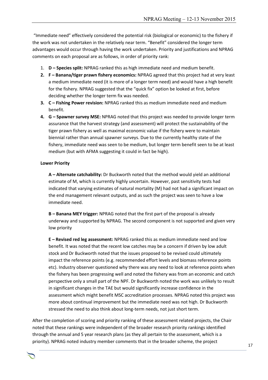"Immediate need" effectively considered the potential risk (biological or economic) to the fishery if the work was not undertaken in the relatively near term. "Benefit" considered the longer term advantages would occur through having the work undertaken. Priority and justifications and NPRAG comments on each proposal are as follows, in order of priority rank:

- 1. **D – Species split:** NPRAG ranked this as high immediate need and medium benefit.
- **2. F – Banana/tiger prawn fishery economics:** NPRAG agreed that this project had at very least a medium immediate need (it is more of a longer term need) and would have a high benefit for the fishery. NPRAG suggested that the "quick fix" option be looked at first, before deciding whether the longer term fix was needed.
- **3. C – Fishing Power revision:** NPRAG ranked this as medium immediate need and medium benefit.
- **4. G – Spawner survey MSE:** NPRAG noted that this project was needed to provide longer term assurance that the harvest strategy (and assessment) will protect the sustainability of the tiger prawn fishery as well as maximal economic value if the fishery were to maintain biennial rather than annual spawner surveys. Due to the currently healthy state of the fishery, immediate need was seen to be medium, but longer term benefit seen to be at least medium (but with AFMA suggesting it could in fact be high).

#### **Lower Priority**

**A – Alternate catchability:** Dr Buckworth noted that the method would yield an additional estimate of M, which is currently highly uncertain. However, past sensitivity tests had indicated that varying estimates of natural mortality (M) had not had a significant impact on the end management relevant outputs, and as such the project was seen to have a low immediate need.

**B – Banana MEY trigger:** NPRAG noted that the first part of the proposal is already underway and supported by NPRAG. The second component is not supported and given very low priority

**E – Revised red leg assessment:** NPRAG ranked this as medium immediate need and low benefit. It was noted that the recent low catches may be a concern if driven by low adult stock and Dr Buckworth noted that the issues proposed to be revised could ultimately impact the reference points (e.g. recommended effort levels and biomass reference points etc). Industry observer questioned why there was any need to look at reference points when the fishery has been progressing well and noted the fishery was from an economic and catch perspective only a small part of the NPF. Dr Buckworth noted the work was unlikely to result in significant changes in the TAE but would significantly increase confidence in the assessment which might benefit MSC accreditation processes. NPRAG noted this project was more about continual improvement but the immediate need was not high. Dr Buckworth stressed the need to also think about long-term needs, not just short term.

After the completion of scoring and priority ranking of these assessment related projects, the Chair noted that these rankings were independent of the broader research priority rankings identified through the annual and 5 year research plans (as they all pertain to the assessment, which is a priority). NPRAG noted industry member comments that in the broader scheme, the project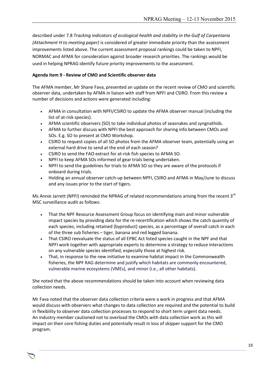described under 7.8 *Tracking indicators of ecological health and stability in the Gulf of Carpentaria (Attachment H to meeting paper)* is considered of greater immediate priority than the assessment improvements listed above. The current assessment proposal rankings could be taken to NPFI, NORMAC and AFMA for consideration against broader research priorities. The rankings would be used in helping NPRAG identify future priority improvements to the assessment.

## **Agenda item 9 - Review of CMO and Scientific observer data**

The AFMA member, Mr Shane Fava, presented an update on the recent review of CMO and scientific observer data, undertaken by AFMA in liaison with staff from NPFI and CSIRO. From this review a number of decisions and actions were generated including:

- AFMA in consultation with NPFI/CSIRO to update the AFMA observer manual (including the list of at-risk species).
- AFMA scientific observers (SO) to take individual photos of seasnakes and syngnathids.
- AFMA to further discuss with NPFI the best approach for sharing info between CMOs and SOs. E.g. SO to present at CMO Workshop.
- CSIRO to request copies of all SO photos from the AFMA observer team, potentially using an external hard drive to send at the end of each season?
- CSIRO to send the FAO extract for at-risk fish species to AFMA SO.
- NPFI to keep AFMA SOs informed of gear trials being undertaken.
- NPFI to send the guidelines for trials to AFMA SO so they are aware of the protocols if onboard during trials.
- Holding an annual observer catch-up between NPFI, CSIRO and AFMA in May/June to discuss and any issues prior to the start of tigers.

Ms Annie Jarrett (NPFI) reminded the NPRAG of related recommendations arising from the recent  $3^{rd}$ MSC surveillance audit as follows:

- That the NPF Resource Assessment Group focus on identifying main and minor vulnerable impact species by providing data for the re-recertification which shows the catch quantity of each species, including retained (byproduct) species, as a percentage of overall catch in each of the three sub fisheries – tiger, banana and red legged banana.
- That CSIRO reevaluate the status of all EPBC Act listed species caught in the NPF and that NPFI work together with appropriate experts to determine a strategy to reduce interactions on any vulnerable species identified, especially those at highest risk.
- That, in response to the new initiative to examine habitat impact in the Commonwealth fisheries, the NPF RAG determine and justify which habitats are commonly encountered, vulnerable marine ecosystems (VMEs), and minor (i.e., all other habitats).

She noted that the above recommendations should be taken into account when reviewing data collection needs.

Mr Fava noted that the observer data collection criteria were a work in progress and that AFMA would discuss with observers what changes to data collection are required and the potential to build in flexibility to observer data collection processes to respond to short term urgent data needs. An industry member cautioned not to overload the CMOs with data collection work as this will impact on their core fishing duties and potentially result in loss of skipper support for the CMO program.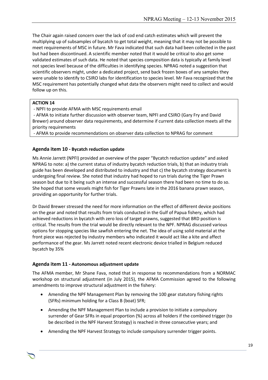The Chair again raised concern over the lack of cod end catch estimates which will prevent the multiplying up of subsamples of bycatch to get total weight, meaning that it may not be possible to meet requirements of MSC in future. Mr Fava indicated that such data had been collected in the past but had been discontinued. A scientific member noted that it would be critical to also get some validated estimates of such data. He noted that species composition data is typically at family level not species level because of the difficulties in identifying species. NPRAG noted a suggestion that scientific observers might, under a dedicated project, send back frozen boxes of any samples they were unable to identify to CSIRO labs for identification to species level. Mr Fava recognized that the MSC requirement has potentially changed what data the observers might need to collect and would follow up on this.

#### **ACTION 14**

- NPFI to provide AFMA with MSC requirements email

- AFMA to initiate further discussion with observer team, NPFI and CSIRO (Gary Fry and David Brewer) around observer data requirements, and determine if current data collection meets all the priority requirements

- AFMA to provide recommendations on observer data collection to NPRAG for comment

## **Agenda item 10 - Bycatch reduction update**

Ms Annie Jarrett (NPFI) provided an overview of the paper "Bycatch reduction update" and asked NPRAG to note: a) the current status of industry bycatch reduction trials, b) that an industry trials guide has been developed and distributed to industry and that c) the bycatch strategy document is undergoing final review. She noted that industry had hoped to run trials during the Tiger Prawn season but due to it being such an intense and successful season there had been no time to do so. She hoped that some vessels might fish for Tiger Prawns late in the 2016 banana prawn season, providing an opportunity for further trials.

Dr David Brewer stressed the need for more information on the effect of different device positions on the gear and noted that results from trials conducted in the Gulf of Papua fishery, which had achieved reductions in bycatch with zero loss of target prawns, suggested that BRD position is critical. The results from the trial would be directly relevant to the NPF. NPRAG discussed various options for stopping species like sawfish entering the net. The idea of using solid material at the front piece was rejected by industry members who indicated it would act like a kite and affect performance of the gear. Ms Jarrett noted recent electronic device trialled in Belgium reduced bycatch by 35%

## **Agenda item 11 - Autonomous adjustment update**

The AFMA member, Mr Shane Fava, noted that in response to recommendations from a NORMAC workshop on structural adjustment (in July 2015), the AFMA Commission agreed to the following amendments to improve structural adjustment in the fishery:

- Amending the NPF Management Plan by removing the 100 gear statutory fishing rights (SFRs) minimum holding for a Class B (boat) SFR;
- Amending the NPF Management Plan to include a provision to initiate a compulsory surrender of Gear SFRs in equal proportion (%) across all holders if the combined trigger (to be described in the NPF Harvest Strategy) is reached in three consecutive years; and

Chair Rob Lewis c/- Executive Officer Tony Kingston, 155 Faulkland Rd, Gloucester NSW 2422

Amending the NPF Harvest Strategy to include compulsory surrender trigger points.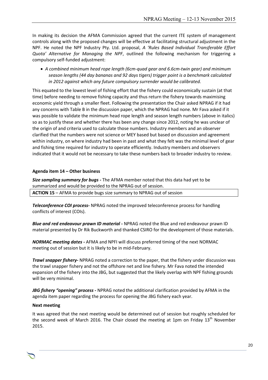In making its decision the AFMA Commission agreed that the current ITE system of management controls along with the proposed changes will be effective at facilitating structural adjustment in the NPF. He noted the NPF Industry Pty. Ltd. proposal, *A 'Rules Based Individual Transferable Effort Quota' Alternative for Managing the NPF*, outlined the following mechanism for triggering a compulsory self-funded adjustment:

 *A combined minimum head rope length (6cm-quad gear and 6.6cm-twin gear) and minimum season lengths (44 day bananas and 92 days tigers) trigger point is a benchmark calculated in 2012 against which any future compulsory surrender would be calibrated.* 

This equated to the lowest level of fishing effort that the fishery could economically sustain (at that time) before needing to remove fishing capacity and thus return the fishery towards maximising economic yield through a smaller fleet. Following the presentation the Chair asked NPRAG if it had any concerns with Table B in the discussion paper, which the NPRAG had none. Mr Fava asked if it was possible to validate the minimum head rope length and season length numbers (above in italics) so as to justify these and whether there has been any change since 2012, noting he was unclear of the origin of and criteria used to calculate those numbers. Industry members and an observer clarified that the numbers were not science or MEY based but based on discussion and agreement within industry, on where industry had been in past and what they felt was the minimal level of gear and fishing time required for industry to operate efficiently. Industry members and observers indicated that it would not be necessary to take these numbers back to broader industry to review.

## **Agenda item 14 – Other business**

*Size sampling summary for bugs -* The AFMA member noted that this data had yet to be summarized and would be provided to the NPRAG out of session.

**ACTION 15** – AFMA to provide bugs size summary to NPRAG out of session

*Teleconference COI process-* NPRAG noted the improved teleconference process for handling conflicts of interest (COIs).

*Blue and red endeavour prawn ID material -* NPRAG noted the Blue and red endeavour prawn ID material presented by Dr Rik Buckworth and thanked CSIRO for the development of those materials.

*NORMAC meeting dates -* AFMA and NPFI will discuss preferred timing of the next NORMAC meeting out of session but it is likely to be in mid-February.

*Trawl snapper fishery-* NPRAG noted a correction to the paper, that the fishery under discussion was the trawl snapper fishery and not the offshore net and line fishery. Mr Fava noted the intended expansion of the fishery into the JBG, but suggested that the likely overlap with NPF fishing grounds will be very minimal.

*JBG fishery "opening" process -* NPRAG noted the additional clarification provided by AFMA in the agenda item paper regarding the process for opening the JBG fishery each year.

## **Next meeting**

It was agreed that the next meeting would be determined out of session but roughly scheduled for the second week of March 2016. The Chair closed the meeting at 1pm on Friday  $13<sup>th</sup>$  November 2015.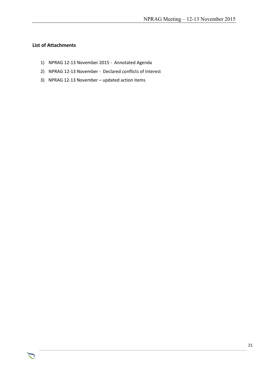## **List of Attachments**

- 1) NPRAG 12-13 November 2015 Annotated Agenda
- 2) NPRAG 12-13 November Declared conflicts of Interest

Chair Rob Lewis c/- Executive Officer Tony Kingston, 155 Faulkland Rd, Gloucester NSW 2422

3) NPRAG 12-13 November – updated action items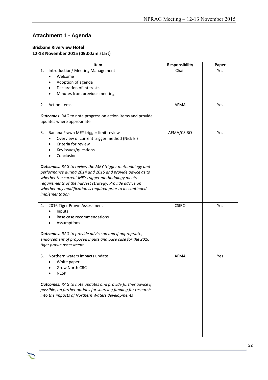## **Attachment 1 - Agenda**

### **Brisbane Riverview Hotel 12-13 November 2015 (09:00am start)**

| Item                                                                                           | Responsibility | Paper |
|------------------------------------------------------------------------------------------------|----------------|-------|
| Introduction/ Meeting Management<br>1.                                                         | Chair          | Yes   |
| Welcome                                                                                        |                |       |
| Adoption of agenda                                                                             |                |       |
| <b>Declaration of interests</b>                                                                |                |       |
| Minutes from previous meetings                                                                 |                |       |
|                                                                                                |                |       |
| Action items<br>2.                                                                             | <b>AFMA</b>    | Yes   |
| <b>Outcomes:</b> RAG to note progress on action items and provide<br>updates where appropriate |                |       |
|                                                                                                |                |       |
| Banana Prawn MEY trigger limit review<br>3.                                                    | AFMA/CSIRO     | Yes   |
| Overview of current trigger method (Nick E.)                                                   |                |       |
| Criteria for review                                                                            |                |       |
| Key issues/questions                                                                           |                |       |
| Conclusions                                                                                    |                |       |
|                                                                                                |                |       |
| <b>Outcomes:</b> RAG to review the MEY trigger methodology and                                 |                |       |
| performance during 2014 and 2015 and provide advice as to                                      |                |       |
| whether the current MEY trigger methodology meets                                              |                |       |
| requirements of the harvest strategy. Provide advice on                                        |                |       |
| whether any modification is required prior to its continued                                    |                |       |
| implementation.                                                                                |                |       |
|                                                                                                |                |       |
| 2016 Tiger Prawn Assessment<br>4.                                                              | <b>CSIRO</b>   | Yes   |
| Inputs                                                                                         |                |       |
| Base case recommendations                                                                      |                |       |
| Assumptions                                                                                    |                |       |
| <b>Outcomes:</b> RAG to provide advice on and if appropriate,                                  |                |       |
| endorsement of proposed inputs and base case for the 2016                                      |                |       |
| tiger prawn assessment                                                                         |                |       |
|                                                                                                |                |       |
| 5.<br>Northern waters impacts update                                                           | <b>AFMA</b>    | Yes   |
| White paper                                                                                    |                |       |
| Grow North CRC                                                                                 |                |       |
| <b>NESP</b>                                                                                    |                |       |
|                                                                                                |                |       |
| <b>Outcomes:</b> RAG to note updates and provide further advice if                             |                |       |
| possible, on further options for sourcing funding for research                                 |                |       |
| into the impacts of Northern Waters developments                                               |                |       |
|                                                                                                |                |       |
|                                                                                                |                |       |
|                                                                                                |                |       |
|                                                                                                |                |       |
|                                                                                                |                |       |
|                                                                                                |                |       |
|                                                                                                |                |       |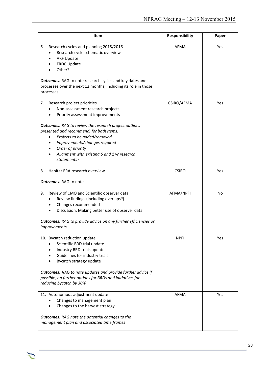| Item                                                                                                                                                                                                                                                                                                                                                                      | Responsibility | Paper |
|---------------------------------------------------------------------------------------------------------------------------------------------------------------------------------------------------------------------------------------------------------------------------------------------------------------------------------------------------------------------------|----------------|-------|
| 6.<br>Research cycles and planning 2015/2016<br>Research cycle schematic overview<br><b>ARF Update</b><br>FRDC Update<br>Other?<br><b>Outcomes:</b> RAG to note research cycles and key dates and<br>processes over the next 12 months, including its role in those<br>processes                                                                                          | <b>AFMA</b>    | Yes   |
| Research project priorities<br>7.<br>Non-assessment research projects<br>Priority assessment improvements<br><b>Outcomes:</b> RAG to review the research project outlines<br>presented and recommend, for both items:<br>Projects to be added/removed<br>Improvements/changes required<br>Order of priority<br>Alignment with existing 5 and 1 yr research<br>statements? | CSIRO/AFMA     | Yes   |
| Habitat ERA research overview<br>8.<br><b>Outcomes:</b> RAG to note                                                                                                                                                                                                                                                                                                       | <b>CSIRO</b>   | Yes   |
| Review of CMO and Scientific observer data<br>9.<br>Review findings (including overlaps?)<br>Changes recommended<br>Discussion: Making better use of observer data<br><b>Outcomes:</b> RAG to provide advice on any further efficiencies or<br>improvements                                                                                                               | AFMA/NPFI      | No    |
| 10. Bycatch reduction update<br>Scientific BRD trial update<br>Industry BRD trials update<br>Guidelines for industry trials<br>Bycatch strategy update<br><b>Outcomes:</b> RAG to note updates and provide further advice if<br>possible, on further options for BRDs and initiatives for<br>reducing bycatch by 30%                                                      | <b>NPFI</b>    | Yes   |
| 11. Autonomous adjustment update<br>Changes to management plan<br>Changes to the harvest strategy<br><b>Outcomes:</b> RAG note the potential changes to the<br>management plan and associated time frames                                                                                                                                                                 | <b>AFMA</b>    | Yes   |

つ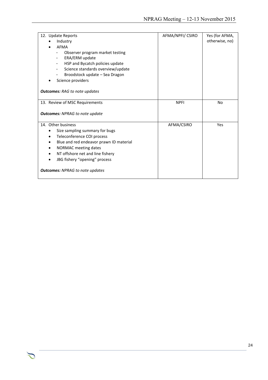| 12. Update Reports                      | AFMA/NPFI/ CSIRO | Yes (for AFMA, |
|-----------------------------------------|------------------|----------------|
| Industry                                |                  | otherwise, no) |
| <b>AFMA</b>                             |                  |                |
| Observer program market testing         |                  |                |
| ERA/ERM update<br>Ξ.                    |                  |                |
| HSP and Bycatch policies update<br>Ξ.   |                  |                |
| Science standards overview/update       |                  |                |
| Broodstock update - Sea Dragon          |                  |                |
| Science providers                       |                  |                |
|                                         |                  |                |
| <b>Outcomes:</b> RAG to note updates    |                  |                |
|                                         |                  |                |
| 13. Review of MSC Requirements          | <b>NPFI</b>      | <b>No</b>      |
|                                         |                  |                |
| <b>Outcomes:</b> NPRAG to note update   |                  |                |
| 14. Other business                      | AFMA/CSIRO       | Yes            |
| Size sampling summary for bugs          |                  |                |
| Teleconference COI process              |                  |                |
| Blue and red endeavor prawn ID material |                  |                |
| NORMAC meeting dates                    |                  |                |
| NT offshore net and line fishery        |                  |                |
| JBG fishery "opening" process           |                  |                |
|                                         |                  |                |
| <b>Outcomes:</b> NPRAG to note updates  |                  |                |
|                                         |                  |                |

 $\sum$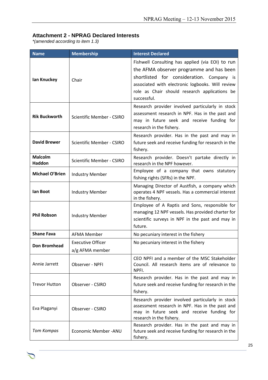## **Attachment 2 - NPRAG Declared Interests**

*\*(amended according to item 1.3)*

つ

| <b>Name</b>                                      | <b>Membership</b>                           | <b>Interest Declared</b>                                                                                                                                                                                                                                      |
|--------------------------------------------------|---------------------------------------------|---------------------------------------------------------------------------------------------------------------------------------------------------------------------------------------------------------------------------------------------------------------|
| Ian Knuckey                                      | Chair                                       | Fishwell Consulting has applied (via EOI) to run<br>the AFMA observer programme and has been<br>shortlisted for consideration. Company is<br>associated with electronic logbooks. Will review<br>role as Chair should research applications be<br>successful. |
| <b>Rik Buckworth</b>                             | <b>Scientific Member - CSIRO</b>            | Research provider involved particularly in stock<br>assessment research in NPF. Has in the past and<br>may in future seek and receive funding for<br>research in the fishery.                                                                                 |
| <b>David Brewer</b>                              | <b>Scientific Member - CSIRO</b>            | Research provider. Has in the past and may in<br>future seek and receive funding for research in the<br>fishery.                                                                                                                                              |
| <b>Malcolm</b><br><b>Haddon</b>                  | <b>Scientific Member - CSIRO</b>            | Research provider. Doesn't partake directly in<br>research in the NPF however.                                                                                                                                                                                |
| <b>Michael O'Brien</b><br><b>Industry Member</b> |                                             | Employee of a company that owns statutory<br>fishing rights (SFRs) in the NPF.                                                                                                                                                                                |
| lan Boot                                         | <b>Industry Member</b>                      | Managing Director of Austfish, a company which<br>operates 4 NPF vessels. Has a commercial interest<br>in the fishery.                                                                                                                                        |
| <b>Phil Robson</b>                               | <b>Industry Member</b>                      | Employee of A Raptis and Sons, responsible for<br>managing 12 NPF vessels. Has provided charter for<br>scientific surveys in NPF in the past and may in<br>future.                                                                                            |
| <b>Shane Fava</b>                                | <b>AFMA Member</b>                          | No pecuniary interest in the fishery                                                                                                                                                                                                                          |
| <b>Don Bromhead</b>                              | <b>Executive Officer</b><br>a/g AFMA member | No pecuniary interest in the fishery                                                                                                                                                                                                                          |
| Annie Jarrett                                    | Observer - NPFI                             | CEO NPFI and a member of the MSC Stakeholder<br>Council. All research items are of relevance to<br>NPFI.                                                                                                                                                      |
| <b>Trevor Hutton</b>                             | Observer - CSIRO                            | Research provider. Has in the past and may in<br>future seek and receive funding for research in the<br>fishery.                                                                                                                                              |
| Eva Plaganyi                                     | Observer - CSIRO                            | Research provider involved particularly in stock<br>assessment research in NPF. Has in the past and<br>may in future seek and receive funding for<br>research in the fishery.                                                                                 |
| <b>Tom Kompas</b>                                | Economic Member - ANU                       | Research provider. Has in the past and may in<br>future seek and receive funding for research in the<br>fishery.                                                                                                                                              |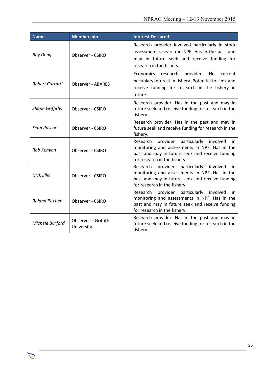| <b>Name</b>            | <b>Membership</b>                 | <b>Interest Declared</b>                                                                                                                                                                 |
|------------------------|-----------------------------------|------------------------------------------------------------------------------------------------------------------------------------------------------------------------------------------|
| <b>Roy Deng</b>        | Observer - CSIRO                  | Research provider involved particularly in stock<br>assessment research in NPF. Has in the past and<br>may in future seek and receive funding for<br>research in the fishery.            |
| Robert Curtotti        | <b>Observer - ABARES</b>          | Economics research<br>provider.<br>No.<br>current<br>pecuniary interest in fishery. Potential to seek and<br>receive funding for research in the fishery in<br>future.                   |
| <b>Shane Griffiths</b> | Observer - CSIRO                  | Research provider. Has in the past and may in<br>future seek and receive funding for research in the<br>fishery.                                                                         |
| Sean Pascoe            | Observer - CSIRO                  | Research provider. Has in the past and may in<br>future seek and receive funding for research in the<br>fishery.                                                                         |
| Rob Kenyon             | Observer - CSIRO                  | provider particularly involved<br>Research<br>in.<br>monitoring and assessments in NPF. Has in the<br>past and may in future seek and receive funding<br>for research in the fishery.    |
| <b>Nick Ellis</b>      | Observer - CSIRO                  | Research<br>provider particularly<br>involved<br>in.<br>monitoring and assessments in NPF. Has in the<br>past and may in future seek and receive funding<br>for research in the fishery. |
| <b>Roland Pitcher</b>  | Observer - CSIRO                  | Research provider particularly involved<br>in.<br>monitoring and assessments in NPF. Has in the<br>past and may in future seek and receive funding<br>for research in the fishery.       |
| Michele Burford        | Observer - Griffith<br>University | Research provider. Has in the past and may in<br>future seek and receive funding for research in the<br>fishery.                                                                         |

つ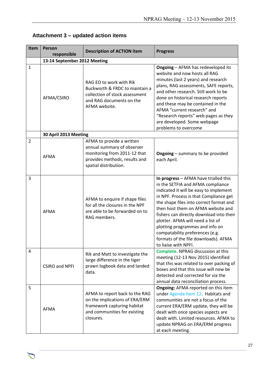| Item           | <b>Person</b><br>responsible | <b>Description of ACTION item</b>                                                                                                                 | <b>Progress</b>                                                                                                                                                                                                                                                                                                                                                                                                                                                        |  |
|----------------|------------------------------|---------------------------------------------------------------------------------------------------------------------------------------------------|------------------------------------------------------------------------------------------------------------------------------------------------------------------------------------------------------------------------------------------------------------------------------------------------------------------------------------------------------------------------------------------------------------------------------------------------------------------------|--|
|                | 13-14 September 2012 Meeting |                                                                                                                                                   |                                                                                                                                                                                                                                                                                                                                                                                                                                                                        |  |
| $\mathbf{1}$   | AFMA/CSIRO                   | RAG EO to work with Rik<br>Buckworth & FRDC to maintain a<br>collection of stock assessment<br>and RAG documents on the<br>AFMA website.          | <b>Ongoing - AFMA has redeveloped its</b><br>website and now hosts all RAG<br>minutes (last 2 years) and research<br>plans, RAG assessments, SAFE reports,<br>and other research. Still work to be<br>done on historical research reports<br>and these may be contained in the<br>AFMA "current research" and<br>"Research reports" web pages as they<br>are developed. Some webpage<br>problems to overcome                                                           |  |
|                | 30 April 2013 Meeting        |                                                                                                                                                   |                                                                                                                                                                                                                                                                                                                                                                                                                                                                        |  |
| $\overline{2}$ | <b>AFMA</b>                  | AFMA to provide a written<br>annual summary of observer<br>monitoring from 2011-12 that<br>provides methods, results and<br>spatial distribution. | <b>Ongoing</b> – summary to be provided<br>each April.                                                                                                                                                                                                                                                                                                                                                                                                                 |  |
| 3              | <b>AFMA</b>                  | AFMA to enquire if shape files<br>for all the closures in the NPF<br>are able to be forwarded on to<br>RAG members.                               | In progress - AFMA have trialled this<br>in the SETFIA and AFMA compliance<br>indicated it will be easy to implement<br>in NPF. Process is that Compliance get<br>the shape files into correct format and<br>then host them on AFMA website and<br>fishers can directly download into their<br>plotter. AFMA will need a list of<br>plotting programmes and info on<br>compatability preferences (e.g.<br>formats of the file downloads). AFMA<br>to liaise with NPFI. |  |
| $\overline{4}$ | <b>CSIRO and NPFI</b>        | Rik and Matt to investigate the<br>large difference in the tiger<br>prawn logbook data and landed<br>data.                                        | <b>Complete. NPRAG discussion at this</b><br>meeting (12-13 Nov 2015) identified<br>that this was related to over packing of<br>boxes and that this issue will now be<br>detected and corrected for via the<br>annual data reconciliation process.                                                                                                                                                                                                                     |  |
| 5              | <b>AFMA</b>                  | AFMA to report back to the RAG<br>on the implications of ERA/ERM<br>framework capturing habitat<br>and communities for existing<br>closures.      | Ongoing: AFMA reported on this item<br>under Agenda Item 12. Habitats and<br>communities are not a focus of the<br>current ERA/ERM update, they will be<br>dealt with once species aspects are<br>dealt with. Limited resources. AFMA to<br>update NPRAG on ERA/ERM progress<br>at each meeting.                                                                                                                                                                       |  |

## **Attachment 3 – updated action items**

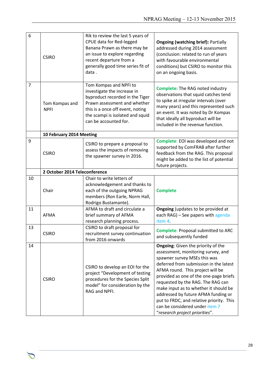| 6              | <b>CSIRO</b>                  | Rik to review the last 5 years of<br>CPUE data for Red-legged<br>Banana Prawn as there may be<br>an issue to explore regarding<br>recent departure from a<br>generally good time series fit of<br>data.                   | <b>Ongoing (watching brief): Partially</b><br>addressed during 2014 assessment<br>(conclusion: related to run of years<br>with favourable environmental<br>conditions) but CSIRO to monitor this<br>on an ongoing basis.                                                                                                                                                                                                                                              |
|----------------|-------------------------------|---------------------------------------------------------------------------------------------------------------------------------------------------------------------------------------------------------------------------|-----------------------------------------------------------------------------------------------------------------------------------------------------------------------------------------------------------------------------------------------------------------------------------------------------------------------------------------------------------------------------------------------------------------------------------------------------------------------|
| $\overline{7}$ | Tom Kompas and<br><b>NPFI</b> | Tom Kompas and NPFI to<br>investigate the increase in<br>byproduct recorded in the Tiger<br>Prawn assessment and whether<br>this is a once off event, noting<br>the scampi is isolated and squid<br>can be accounted for. | <b>Complete:</b> The RAG noted industry<br>observations that squid catches tend<br>to spike at irregular intervals (over<br>many years) and this represented such<br>an event. It was noted by Dr Kompas<br>that ideally all byproduct will be<br>included in the revenue function.                                                                                                                                                                                   |
|                | 10 February 2014 Meeting      |                                                                                                                                                                                                                           |                                                                                                                                                                                                                                                                                                                                                                                                                                                                       |
| 9              | <b>CSIRO</b>                  | CSIRO to prepare a proposal to<br>assess the impacts of removing<br>the spawner survey in 2016.                                                                                                                           | Complete: EOI was developed and not<br>supported by ComFRAB after further<br>feedback from the RAG. This proposal<br>might be added to the list of potential<br>future projects.                                                                                                                                                                                                                                                                                      |
|                | 2 October 2014 Teleconference |                                                                                                                                                                                                                           |                                                                                                                                                                                                                                                                                                                                                                                                                                                                       |
| 10             | Chair                         | Chair to write letters of<br>acknowledgement and thanks to<br>each of the outgoing NPRAG<br>members (Ron Earle, Norm Hall,<br>Rodrigo Bustamante).                                                                        | <b>Complete</b>                                                                                                                                                                                                                                                                                                                                                                                                                                                       |
| 11             | <b>AFMA</b>                   | AFMA to draft and circulate a<br>brief summary of AFMA<br>research planning process.                                                                                                                                      | <b>Ongoing</b> (updates to be provided at<br>each RAG) - See papers with agenda<br>item 4.                                                                                                                                                                                                                                                                                                                                                                            |
| 13             | <b>CSIRO</b>                  | CSIRO to draft proposal for<br>recruitment survey continuation<br>from 2016 onwards                                                                                                                                       | <b>Complete: Proposal submitted to ARC</b><br>and subsequently funded                                                                                                                                                                                                                                                                                                                                                                                                 |
| 14             | <b>CSIRO</b>                  | CSIRO to develop an EOI for the<br>project "Development of testing<br>procedures for the Species Split<br>model" for consideration by the<br>RAG and NPFI.                                                                | Ongoing: Given the priority of the<br>assessment, monitoring survey, and<br>spawner survey MSEs this was<br>deferred from submission in the latest<br>AFMA round. This project will be<br>provided as one of the one-page briefs<br>requested by the RAG. The RAG can<br>make input as to whether it should be<br>addressed by future AFMA funding or<br>put to FRDC, and relative priority. This<br>can be considered under item 7<br>"research project priorities". |

つ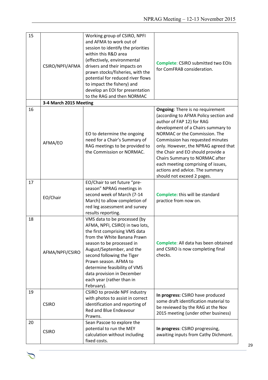| 15 | CSIRO/NPFI/AFMA        | Working group of CSIRO, NPFI<br>and AFMA to work out of<br>session to identify the priorities<br>within this R&D area<br>(effectively, environmental<br>drivers and their impacts on<br>prawn stocks/fisheries, with the<br>potential for reduced river flows<br>to impact the fishery) and<br>develop an EOI for presentation<br>to the RAG and then NORMAC | <b>Complete: CSIRO submitted two EOIs</b><br>for ComFRAB consideration.                                                                                                                                                                                                                                                                                                                                                                        |
|----|------------------------|--------------------------------------------------------------------------------------------------------------------------------------------------------------------------------------------------------------------------------------------------------------------------------------------------------------------------------------------------------------|------------------------------------------------------------------------------------------------------------------------------------------------------------------------------------------------------------------------------------------------------------------------------------------------------------------------------------------------------------------------------------------------------------------------------------------------|
|    | 3-4 March 2015 Meeting |                                                                                                                                                                                                                                                                                                                                                              |                                                                                                                                                                                                                                                                                                                                                                                                                                                |
| 16 | AFMA/EO                | EO to determine the ongoing<br>need for a Chair's Summary of<br>RAG meetings to be provided to<br>the Commission or NORMAC.                                                                                                                                                                                                                                  | <b>Ongoing: There is no requirement</b><br>(according to AFMA Policy section and<br>author of FAP 12) for RAG<br>development of a Chairs summary to<br>NORMAC or the Commission. The<br>Commission has requested minutes<br>only. However, the NPRAG agreed that<br>the Chair and EO should provide a<br>Chairs Summary to NORMAC after<br>each meeting comprising of issues,<br>actions and advice. The summary<br>should not exceed 2 pages. |
| 17 | EO/Chair               | EO/Chair to set future "pre-<br>season" NPRAG meetings in<br>second week of March (7-14<br>March) to allow completion of<br>red leg assessment and survey<br>results reporting.                                                                                                                                                                              | <b>Complete:</b> this will be standard<br>practice from now on.                                                                                                                                                                                                                                                                                                                                                                                |
| 18 | AFMA/NPFI/CSIRO        | VMS data to be processed (by<br>AFMA, NPFI, CSIRO) in two lots,<br>the first comprising VMS data<br>from the White Banana Prawn<br>season to be processed in<br>August/September, and the<br>second following the Tiger<br>Prawn season. AFMA to<br>determine feasibility of VMS<br>data provision in December<br>each year (rather than in<br>February).    | Complete: All data has been obtained<br>and CSIRO is now completing final<br>checks.                                                                                                                                                                                                                                                                                                                                                           |
| 19 | <b>CSIRO</b>           | CSIRO to provide NPF industry<br>with photos to assist in correct<br>identification and reporting of<br>Red and Blue Endeavour<br>Prawns.                                                                                                                                                                                                                    | In progress: CSIRO have produced<br>some draft identification material to<br>be reviewed by the RAG at the Nov<br>2015 meeting (under other business)                                                                                                                                                                                                                                                                                          |
| 20 | <b>CSIRO</b>           | Sean Pascoe to explore the<br>potential to run the MEY<br>calculation without including<br>fixed costs.                                                                                                                                                                                                                                                      | In progress: CSIRO progressing,<br>awaiting inputs from Cathy Dichmont.                                                                                                                                                                                                                                                                                                                                                                        |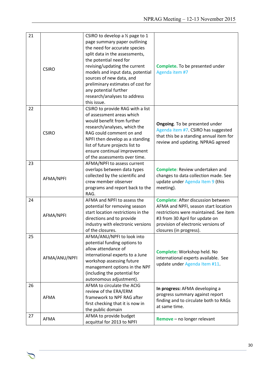| 21 |               | CSIRO to develop a $\frac{1}{2}$ page to 1 |                                           |
|----|---------------|--------------------------------------------|-------------------------------------------|
|    |               | page summary paper outlining               |                                           |
|    |               | the need for accurate species              |                                           |
|    |               | split data in the assessments,             |                                           |
|    |               | the potential need for                     |                                           |
|    |               | revising/updating the current              | Complete. To be presented under           |
|    | <b>CSIRO</b>  | models and input data, potential           | Agenda item #7                            |
|    |               | sources of new data, and                   |                                           |
|    |               | preliminary estimates of cost for          |                                           |
|    |               | any potential further                      |                                           |
|    |               | research/analyses to address               |                                           |
|    |               | this issue.                                |                                           |
| 22 |               |                                            |                                           |
|    |               | CSIRO to provide RAG with a list           |                                           |
|    |               | of assessment areas which                  |                                           |
|    |               | would benefit from further                 | Ongoing. To be presented under            |
|    |               | research/analyses, which the               | Agenda item #7. CSIRO has suggested       |
|    | <b>CSIRO</b>  | RAG could comment on and                   | that this be a standing annual item for   |
|    |               | NPFI then develop as a standing            | review and updating. NPRAG agreed         |
|    |               | list of future projects list to            |                                           |
|    |               | ensure continual improvement               |                                           |
|    |               | of the assessments over time.              |                                           |
| 23 |               | AFMA/NPFI to assess current                |                                           |
|    |               | overlaps between data types                | Complete: Review undertaken and           |
|    | AFMA/NPFI     | collected by the scientific and            | changes to data collection made. See      |
|    |               | crew member observer                       | update under Agenda Item 9 (this          |
|    |               | programs and report back to the            | meeting).                                 |
|    |               | RAG.                                       |                                           |
| 24 |               | AFMA and NPFI to assess the                | <b>Complete: After discussion between</b> |
|    |               | potential for removing season              | AFMA and NPFI, season start location      |
|    |               | start location restrictions in the         | restrictions were maintained. See item    |
|    | AFMA/NPFI     | directions and to provide                  | #3 from 30 April for update on            |
|    |               | industry with electronic versions          | provision of electronic versions of       |
|    |               | of the closures.                           | closures (in progress).                   |
| 25 |               | AFMA/ANU/NPFI to look into                 |                                           |
|    |               | potential funding options to               |                                           |
|    |               | allow attendance of                        |                                           |
|    |               | international experts to a June            | Complete: Workshop held. No               |
|    | AFMA/ANU/NPFI | workshop assessing future                  | international experts available. See      |
|    |               | management options in the NPF              | update under Agenda Item #11.             |
|    |               | (including the potential for               |                                           |
|    |               | autonomous adjustment).                    |                                           |
| 26 |               | AFMA to circulate the ACIG                 |                                           |
|    |               | review of the ERA/ERM                      | In progress: AFMA developing a            |
|    | AFMA          | framework to NPF RAG after                 | progress summary against report           |
|    |               | first checking that it is now in           | finding and to circulate both to RAGs     |
|    |               | the public domain                          | at same time.                             |
| 27 |               | AFMA to provide budget                     |                                           |
|    | AFMA          | acquittal for 2013 to NPFI                 | Remove - no longer relevant               |
|    |               |                                            |                                           |

 $\sum$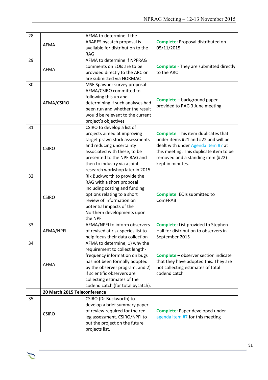| 28 | <b>AFMA</b>                  | AFMA to determine if the<br>ABARES bycatch proposal is<br>available for distribution to the<br><b>RAG</b>                                                                                                                                                               | Complete: Proposal distributed on<br>05/11/2015                                                                                                                                                                             |
|----|------------------------------|-------------------------------------------------------------------------------------------------------------------------------------------------------------------------------------------------------------------------------------------------------------------------|-----------------------------------------------------------------------------------------------------------------------------------------------------------------------------------------------------------------------------|
| 29 | <b>AFMA</b>                  | AFMA to determine if NPFRAG<br>comments on EOIs are to be<br>provided directly to the ARC or<br>are submitted via NORMAC                                                                                                                                                | <b>Complete</b> - They are submitted directly<br>to the ARC                                                                                                                                                                 |
| 30 | AFMA/CSIRO                   | MSE Spawner survey proposal:<br>AFMA/CSIRO committed to<br>following this up and<br>determining if such analyses had<br>been run and whether the result<br>would be relevant to the current<br>project's objectives                                                     | <b>Complete</b> - background paper<br>provided to RAG 3 June meeting                                                                                                                                                        |
| 31 | <b>CSIRO</b>                 | CSIRO to develop a list of<br>projects aimed at improving<br>target prawn stock assessments<br>and reducing uncertainty<br>associated with these, to be<br>presented to the NPF RAG and<br>then to industry via a joint<br>research workshop later in 2015              | <b>Complete:</b> This item duplicates that<br>under items #21 and #22 and will be<br>dealt with under Agenda Item #7 at<br>this meeting. This duplicate item to be<br>removed and a standing item (#22)<br>kept in minutes. |
| 32 | <b>CSIRO</b>                 | Rik Buckworth to provide the<br>RAG with a short proposal<br>including costing and funding<br>options relating to a short<br>review of information on<br>potential impacts of the<br>Northern developments upon<br>the NPF                                              | <b>Complete: EOIs submitted to</b><br>ComFRAB                                                                                                                                                                               |
| 33 | AFMA/NPFI                    | AFMA/NPFI to inform observers<br>of revised at risk species list to<br>help focus their data collection                                                                                                                                                                 | <b>Complete:</b> List provided to Stephen<br>Hall for distribution to observers in<br>September 2015                                                                                                                        |
| 34 | <b>AFMA</b>                  | AFMA to determine; 1) why the<br>requirement to collect length-<br>frequency information on bugs<br>has not been formally adopted<br>by the observer program, and 2)<br>if scientific observers are<br>collecting estimates of the<br>codend catch (for total bycatch). | <b>Complete</b> - observer section indicate<br>that they have adopted this. They are<br>not collecting estimates of total<br>codend catch                                                                                   |
|    | 20 March 2015 Teleconference |                                                                                                                                                                                                                                                                         |                                                                                                                                                                                                                             |
| 35 | <b>CSIRO</b>                 | CSIRO (Dr Buckworth) to<br>develop a brief summary paper<br>of review required for the red<br>leg assessment. CSIRO/NPFI to<br>put the project on the future<br>projects list.                                                                                          | Complete: Paper developed under<br>agenda item #7 for this meeting                                                                                                                                                          |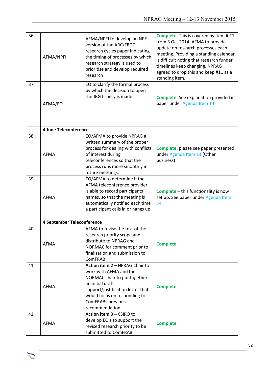| 36 | AFMA/NPFI                  | AFMA/NPFI to develop an NPF<br>version of the ARC/FRDC<br>research cycles paper indicating<br>the timing of processes by which<br>research strategy is used to<br>prioritise and develop required<br>research             | Complete: This is covered by item #11<br>from 3 Oct 2014. AFMA to provide<br>update on research processes each<br>meeting. Providing a standing calendar<br>is difficult noting that research funder<br>timelines keep changing. NPRAG<br>agreed to drop this and keep #11 as a<br>standing item. |
|----|----------------------------|---------------------------------------------------------------------------------------------------------------------------------------------------------------------------------------------------------------------------|---------------------------------------------------------------------------------------------------------------------------------------------------------------------------------------------------------------------------------------------------------------------------------------------------|
| 37 | AFMA/EO                    | EO to clarify the formal process<br>by which the decision to open<br>the JBG fishery is made                                                                                                                              | Complete: See explanation provided in<br>paper under Agenda Item 14                                                                                                                                                                                                                               |
|    | 4 June Teleconference      |                                                                                                                                                                                                                           |                                                                                                                                                                                                                                                                                                   |
| 38 | <b>AFMA</b>                | EO/AFMA to provide NPRAG a<br>written summary of the proper<br>process for dealing with conflicts<br>of interest during<br>teleconferences so that the<br>process runs more smoothly in<br>future meetings.               | Complete: please see paper presented<br>under Agenda Item 14 (Other<br>business)                                                                                                                                                                                                                  |
| 39 | <b>AFMA</b>                | EO/AFMA to determine if the<br>AFMA teleconference provider<br>is able to record participants<br>names, so that the meeting is<br>automatically notified each time<br>a participant calls in or hangs up.                 | <b>Complete</b> - this functionality is now<br>set up. See paper under Agenda Item<br>14                                                                                                                                                                                                          |
|    | 4 September Teleconference |                                                                                                                                                                                                                           |                                                                                                                                                                                                                                                                                                   |
| 40 | AFMA                       | AFMA to revise the text of the<br>research priority scope and<br>distribute to NPRAG and<br>NORMAC for comment prior to<br>finalisation and submission to<br>ComFRAB.                                                     | <b>Complete</b>                                                                                                                                                                                                                                                                                   |
| 41 | AFMA                       | Action item 2 - NPRAG Chair to<br>work with AFMA and the<br>NORMAC chair to put together<br>an initial draft<br>support/justification letter that<br>would focus on responding to<br>ComFRABs previous<br>recommendation. | <b>Complete</b>                                                                                                                                                                                                                                                                                   |
| 42 | <b>AFMA</b>                | Action item 3 - CSIRO to<br>develop EOIs to support the<br>revised research priority to be<br>submitted to ComFRAB                                                                                                        | <b>Complete</b>                                                                                                                                                                                                                                                                                   |